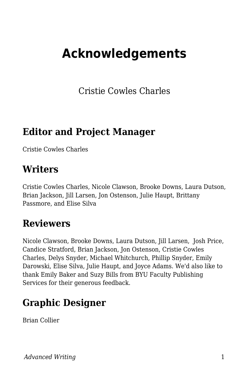# **Acknowledgements**

Cristie Cowles Charles

#### **Editor and Project Manager**

Cristie Cowles Charles

#### **Writers**

Cristie Cowles Charles, Nicole Clawson, Brooke Downs, Laura Dutson, Brian Jackson, Jill Larsen, Jon Ostenson, Julie Haupt, Brittany Passmore, and Elise Silva

#### **Reviewers**

Nicole Clawson, Brooke Downs, Laura Dutson, Jill Larsen, Josh Price, Candice Stratford, Brian Jackson, Jon Ostenson, Cristie Cowles Charles, Delys Snyder, Michael Whitchurch, Phillip Snyder, Emily Darowski, Elise Silva, Julie Haupt, and Joyce Adams. We'd also like to thank Emily Baker and Suzy Bills from BYU Faculty Publishing Services for their generous feedback.

### **Graphic Designer**

Brian Collier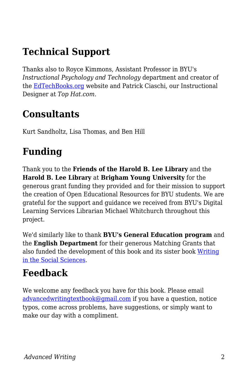# **Technical Support**

Thanks also to Royce Kimmons, Assistant Professor in BYU's *Instructional Psychology and Technology* department and creator of the [EdTechBooks.org](https://edtechbooks.org/writing/EdTechBooks.org) website and Patrick Ciaschi, our Instructional Designer at *Top Hat.com*.

### **Consultants**

Kurt Sandholtz, Lisa Thomas, and Ben Hill

# **Funding**

Thank you to the **Friends of the Harold B. Lee Library** and the **Harold B. Lee Library** at **Brigham Young University** for the generous grant funding they provided and for their mission to support the creation of Open Educational Resources for BYU students. We are grateful for the support and guidance we received from BYU's Digital Learning Services Librarian Michael Whitchurch throughout this project.

We'd similarly like to thank **BYU's General Education program** and the **English Department** for their generous Matching Grants that also funded the development of this book and its sister book [Writing](https://edtechbooks.org/writing) [in the Social Sciences.](https://edtechbooks.org/writing)

# **Feedback**

We welcome any feedback you have for this book. Please email [advancedwritingtextbook@gmail.com](mailto:advancedwritingtextbook@gmail.com) if you have a question, notice typos, come across problems, have suggestions, or simply want to make our day with a compliment.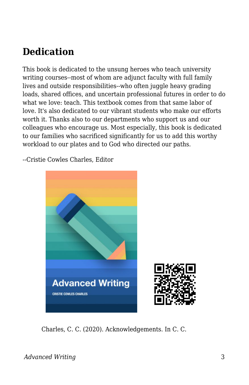### **Dedication**

This book is dedicated to the unsung heroes who teach university writing courses--most of whom are adjunct faculty with full family lives and outside responsibilities--who often juggle heavy grading loads, shared offices, and uncertain professional futures in order to do what we love: teach. This textbook comes from that same labor of love. It's also dedicated to our vibrant students who make our efforts worth it. Thanks also to our departments who support us and our colleagues who encourage us. Most especially, this book is dedicated to our families who sacrificed significantly for us to add this worthy workload to our plates and to God who directed our paths.

--Cristie Cowles Charles, Editor



Charles, C. C. (2020). Acknowledgements. In C. C.